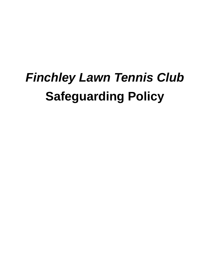# *Finchley Lawn Tennis Club* **Safeguarding Policy**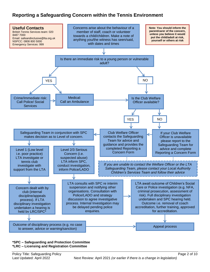# **Reporting a Safeguarding Concern within the Tennis Environment**



#### **\*SPC – Safeguarding and Protection Committee \*LRC – Licensing and Registration Committee**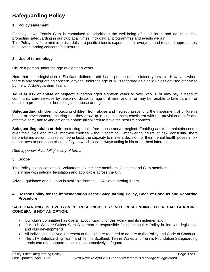# **Safeguarding Policy**

#### **1. Policy statement**

Finchley Lawn Tennis Club is committed to prioritising the well-being of all children and adults at risk, promoting safeguarding in our club at all times, including all programmes and events we run. This Policy strives to minimise risk, deliver a positive tennis experience for everyone and respond appropriately to all safeguarding concerns/disclosures.

#### **2. Use of terminology**

**Child:** a person under the age of eighteen years.

Note that some legislation in Scotland defines a child as a person under sixteen years old. However, where there is any safeguarding concern, anyone under the age of 18 is regarded as a child unless advised otherwise by the LTA Safeguarding Team.

**Adult at risk of abuse or neglect:** a person aged eighteen years or over who is, or may be, in need of community care services by reason of disability, age or illness; and is, or may be, unable to take care of, or unable to protect him or herself against abuse or neglect.

**Safeguarding children:** protecting children from abuse and neglect, preventing the impairment of children's health or development, ensuring that they grow up in circumstances consistent with the provision of safe and effective care, and taking action to enable all children to have the best life chances.

**Safeguarding adults at risk:** protecting adults from abuse and/or neglect. Enabling adults to maintain control over their lives and make informed choices without coercion. Empowering adults at risk, consulting them before taking action, unless someone lacks the capacity to make a decision, or their mental health poses a risk to their own or someone else's safety, in which case, always acting in his or her best interests.

*(See appendix A for full glossary of terms)*.

#### **3. Scope**

This Policy is applicable to all Volunteers, Committee members, Coaches and Club members. It is in line with national legislation and applicable across the UK.

Advice, guidance and support is available from the LTA Safeguarding Team.

#### **4. Responsibility for the implementation of the Safeguarding Policy, Code of Conduct and Reporting Procedure**

#### **SAFEGUARDING IS EVERYONE'S RESPONSIBILITY: NOT RESPONDING TO A SAFEGUARDING CONCERN IS NOT AN OPTION.**

- Our club's committee has overall accountability for this Policy and its implementation
- Our club Welfare Officer Sara Silverman is responsible for updating this Policy in line with legislative and club developments
- All individuals involved in/present at the club are required to adhere to the Policy and Code of Conduct
- The LTA Safeguarding Team and Tennis Scotland, Tennis Wales and Tennis Foundation Safeguarding Leads can offer support to help clubs proactively safeguard.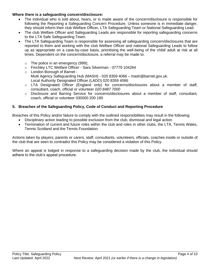#### **Where there is a safeguarding concern/disclosure:**

- The individual who is told about, hears, or is made aware of the concern/disclosure is responsible for following the Reporting a Safeguarding Concern Procedure. Unless someone is in immediate danger, they should inform their club Welfare Officer, LTA Safeguarding Team or National Safeguarding Lead.
- The club Welfare Officer and Safeguarding Leads are responsible for reporting safeguarding concerns to the LTA Safe Safeguarding Team.
- The LTA Safeguarding Team is responsible for assessing all safeguarding concern/disclosures that are reported to them and working with the club Welfare Officer and national Safeguarding Leads to follow up as appropriate on a case-by-case basis, prioritising the well-being of the child/ adult at risk at all times. Dependent on the concern/disclosure, a referral may be made to:
	- o The police in an emergency (999);
	- o Finchley LTC Welfare Officer Sara Silverman 07779 104264
	- o London Borough of Barnet Multi Agency Safeguarding Hub (MASH) - 020 8359 4066 – mash@barnet.gov.uk. Local Authority Designated Officer (LADO) 020 8359 4066
	- o LTA Designated Officer (England only) for concerns/disclosures about a member of staff, consultant, coach, official or volunteer *020 8487 7000*
	- o Disclosure and Barring Service for concerns/disclosures about a member of staff, consultant, coach, official or volunteer 030000 200 190

#### **5. Breaches of the Safeguarding Policy, Code of Conduct and Reporting Procedure**

Breaches of this Policy and/or failure to comply with the outlined responsibilities may result in the following:

- Disciplinary action leading to possible exclusion from the club, dismissal and legal action
- Termination of current and future roles within the club and roles in other clubs, the LTA, Tennis Wales, Tennis Scotland and the Tennis Foundation*.*

Actions taken by players, parents or carers, staff, consultants, volunteers, officials, coaches inside or outside of the club that are seen to contradict this Policy may be considered a violation of this Policy.

Where an appeal is lodged in response to a safeguarding decision made by the club, the individual should adhere to the club's appeal procedure.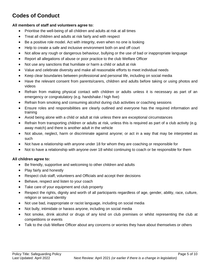# **Codes of Conduct**

#### **All members of staff and volunteers agree to:**

- Prioritise the well-being of all children and adults at risk at all times
- Treat all children and adults at risk fairly and with respect
- Be a positive role model. Act with integrity, even when no one is looking
- Help to create a safe and inclusive environment both on and off court
- Not allow any rough or dangerous behaviour, bullying or the use of bad or inappropriate language
- Report all allegations of abuse or poor practice to the club Welfare Officer
- Not use any sanctions that humiliate or harm a child or adult at risk
- Value and celebrate diversity and make all reasonable efforts to meet individual needs
- Keep clear boundaries between professional and personal life, including on social media
- Have the relevant consent from parents/carers, children and adults before taking or using photos and videos
- Refrain from making physical contact with children or adults unless it is necessary as part of an emergency or congratulatory (e.g. handshake / high five)
- Refrain from smoking and consuming alcohol during club activities or coaching sessions
- Ensure roles and responsibilities are clearly outlined and everyone has the required information and training
- Avoid being alone with a child or adult at risk unless there are exceptional circumstances
- Refrain from transporting children or adults at risk, unless this is required as part of a club activity (e.g. away match) and there is another adult in the vehicle
- Not abuse, neglect, harm or discriminate against anyone; or act in a way that may be interpreted as such
- Not have a relationship with anyone under 18 for whom they are coaching or responsible for
- Not to have a relationship with anyone over 18 whilst continuing to coach or be responsible for them

#### **All children agree to:**

- Be friendly, supportive and welcoming to other children and adults
- Play fairly and honestly
- Respect club staff, volunteers and Officials and accept their decisions
- Behave, respect and listen to your coach
- Take care of your equipment and club property
- Respect the rights, dignity and worth of all participants regardless of age, gender, ability, race, culture, religion or sexual identity
- Not use bad, inappropriate or racist language, including on social media
- Not bully, intimidate or harass anyone, including on social media
- Not smoke, drink alcohol or drugs of any kind on club premises or whilst representing the club at competitions or events
- Talk to the club Welfare Officer about any concerns or worries they have about themselves or others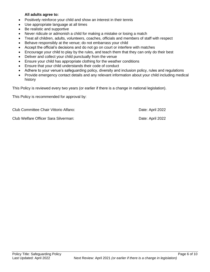#### **All adults agree to:**

- Positively reinforce your child and show an interest in their tennis
- Use appropriate language at all times
- Be realistic and supportive
- Never ridicule or admonish a child for making a mistake or losing a match
- Treat all children, adults, volunteers, coaches, officials and members of staff with respect
- Behave responsibly at the venue; do not embarrass your child
- Accept the official's decisions and do not go on court or interfere with matches
- Encourage your child to play by the rules, and teach them that they can only do their best
- Deliver and collect your child punctually from the venue
- Ensure your child has appropriate clothing for the weather conditions
- Ensure that your child understands their code of conduct
- Adhere to your venue's safeguarding policy, diversity and inclusion policy, rules and regulations
- Provide emergency contact details and any relevant information about your child including medical history

This Policy is reviewed every two years (or earlier if there is a change in national legislation).

This Policy is recommended for approval by:

Club Committee Chair Vittorio Alfano: Date: April 2022

Club Welfare Officer Sara Silverman: Date: April 2022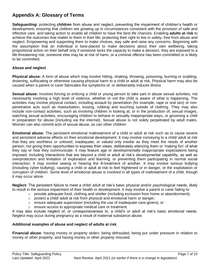# **Appendix A: Glossary of Terms**

**Safeguarding:** protecting **children** from abuse and neglect, preventing the impairment of children's health or development, ensuring that children are growing up in circumstances consistent with the provision of safe and effective care, and taking action to enable all children to have the best life chances. Enabling **adults at risk** to achieve the outcomes that matter to them in their life; protecting their right to live in safety, free from abuse and neglect. Empowering and supporting them to make choices, stay safe and raise any concerns. Beginning with the assumption that an individual is best-placed to make decisions about their own wellbeing, taking proportional action on their behalf only if someone lacks the capacity to make a decision, they are exposed to a life-threatening risk, someone else may be at risk of harm, or a criminal offence has been committed or is likely to be committed.

#### **Abuse and neglect**

**Physical abuse:** A form of abuse which may involve hitting, shaking, throwing, poisoning, burning or scalding, drowning, suffocating or otherwise causing physical harm to a child or adult at risk. Physical harm may also be caused when a parent or carer fabricates the symptoms of, or deliberately induces illness

**Sexual abuse:** Involves forcing or enticing a child or young person to take part in abuse sexual activities, not necessarily involving a high level of violence, whether or not the child is aware of what is happening. The activities may involve physical contact, including assault by penetration (for example, rape or oral sex) or nonpenetrative acts such as masturbation, kissing, rubbing and touching outside of clothing. They may also include non-contact activities, such as involving children in looking at, or in the production of, sexual images, watching sexual activities, encouraging children to behave in sexually inappropriate ways, or grooming a child in preparation for abuse (including via the internet). Sexual abuse is not solely perpetrated by adult males. Women can also commit acts of sexual abuse, as can other children

**Emotional abuse:** The persistent emotional maltreatment of a child or adult at risk such as to cause severe and persistent adverse effects on their emotional development. It may involve conveying to a child/ adult at risk that they are worthless or unloved, inadequate, or valued only insofar as they meet the needs of another person; not giving them opportunities to express their views; deliberately silencing them or 'making fun' of what they say or how they communicate. It may feature age or developmentally inappropriate expectations being imposed, including interactions that are beyond a child or adult at risk's developmental capability, as well as overprotection and limitation of exploration and learning, or preventing them participating in normal social interaction. It may involve seeing or hearing the ill-treatment of another. It may involve serious bullying (including cyber bullying), causing a child or adult at risk to feel frightened or in danger, or the exploitation or corruption of children. Some level of emotional abuse is involved in all types of maltreatment of a child, though it may occur alone.

**Neglect:** The persistent failure to meet a child/ adult at risk's basic physical and/or psychological needs, likely to result in the serious impairment of their health or development. It may involve a parent or carer failing to:

- $\circ$  provide adequate food, clothing and shelter (including exclusion from home or abandonment);
- o protect a child/ adult at risk from physical and emotional harm or danger;
- $\circ$  ensure adequate supervision (including the use of inadequate care-givers); or
- o ensure access to appropriate medical care or treatment.

It may also include neglect of, or unresponsiveness to, a child's or adult at risk's basic emotional needs. Neglect may occur during pregnancy as a result of maternal substance abuse.

#### **Additional examples of abuse and neglect of adults at risk**

**Financial abuse**: having money or property stolen; being defrauded; being put under pressure in relation to money or other property; and having money or other property misused.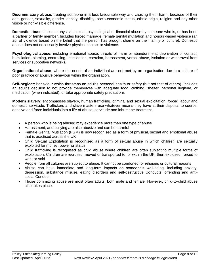**Discriminatory abuse**: treating someone in a less favourable way and causing them harm, because of their age, gender, sexuality, gender identity, disability, socio-economic status, ethnic origin, religion and any other visible or non-visible difference.

**Domestic abuse**: includes physical, sexual, psychological or financial abuse by someone who is, or has been a partner or family member. Includes forced marriage, female genital mutilation and honour-based violence (an act of violence based on the belief that the person has brought shame on their family or culture). Domestic abuse does not necessarily involve physical contact or violence.

**Psychological abuse:** including emotional abuse, threats of harm or abandonment, deprivation of contact, humiliation, blaming, controlling, intimidation, coercion, harassment, verbal abuse, isolation or withdrawal from services or supportive networks.

**Organisational abuse**: where the needs of an individual are not met by an organisation due to a culture of poor practice or abusive behaviour within the organisation.

**Self-neglect:** behaviour which threatens an adult's personal health or safety (but not that of others). Includes an adult's decision to not provide themselves with adequate food, clothing, shelter, personal hygiene, or medication (when indicated), or take appropriate safety precautions

**Modern slavery**: encompasses slavery, human trafficking, criminal and sexual exploitation, forced labour and domestic servitude. Traffickers and slave masters use whatever means they have at their disposal to coerce, deceive and force individuals into a life of abuse, servitude and inhumane treatment.

- A person who is being abused may experience more than one type of abuse
- Harassment, and bullying are also abusive and can be harmful
- Female Genital Mutilation (FGM) is now recognised as a form of physical, sexual and emotional abuse that is practised across the UK
- Child Sexual Exploitation is recognised as a form of sexual abuse in which children are sexually exploited for money, power or status
- Child trafficking is recognised as child abuse where children are often subject to multiple forms of exploitation. Children are recruited, moved or transported to, or within the UK, then exploited, forced to work or sold
- People from all cultures are subject to abuse. It cannot be condoned for religious or cultural reasons
- Abuse can have immediate and long-term impacts on someone's well-being, including anxiety, depression, substance misuse, eating disorders and self-destructive Conducts, offending and antisocial Conduct
- Those committing abuse are most often adults, both male and female. However, child-to-child abuse also takes place.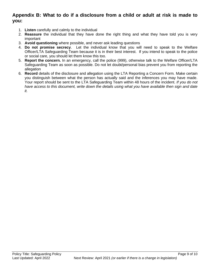### **Appendix B: What to do if a disclosure from a child or adult at risk is made to you:**

- 1. **Listen** carefully and calmly to the individual
- 2. **Reassure** the individual that they have done the right thing and what they have told you is very important
- 3. **Avoid questioning** where possible, and never ask leading questions
- 4. **Do not promise secrecy**. Let the individual know that you will need to speak to the Welfare Officer/LTA Safeguarding Team because it is in their best interest. If you intend to speak to the police or social care, you should let them know this too.
- 5. **Report the concern.** In an emergency, call the police (999), otherwise talk to the Welfare Officer/LTA Safeguarding Team as soon as possible. Do not let doubt/personal bias prevent you from reporting the allegation
- 6. **Record** details of the disclosure and allegation using the LTA Reporting a Concern Form*.* Make certain you distinguish between what the person has actually said and the inferences you may have made. Your report should be sent to the LTA Safeguarding Team within 48 hours of the incident. *If you do not have access to this document, write down the details using what you have available then sign and date it.*